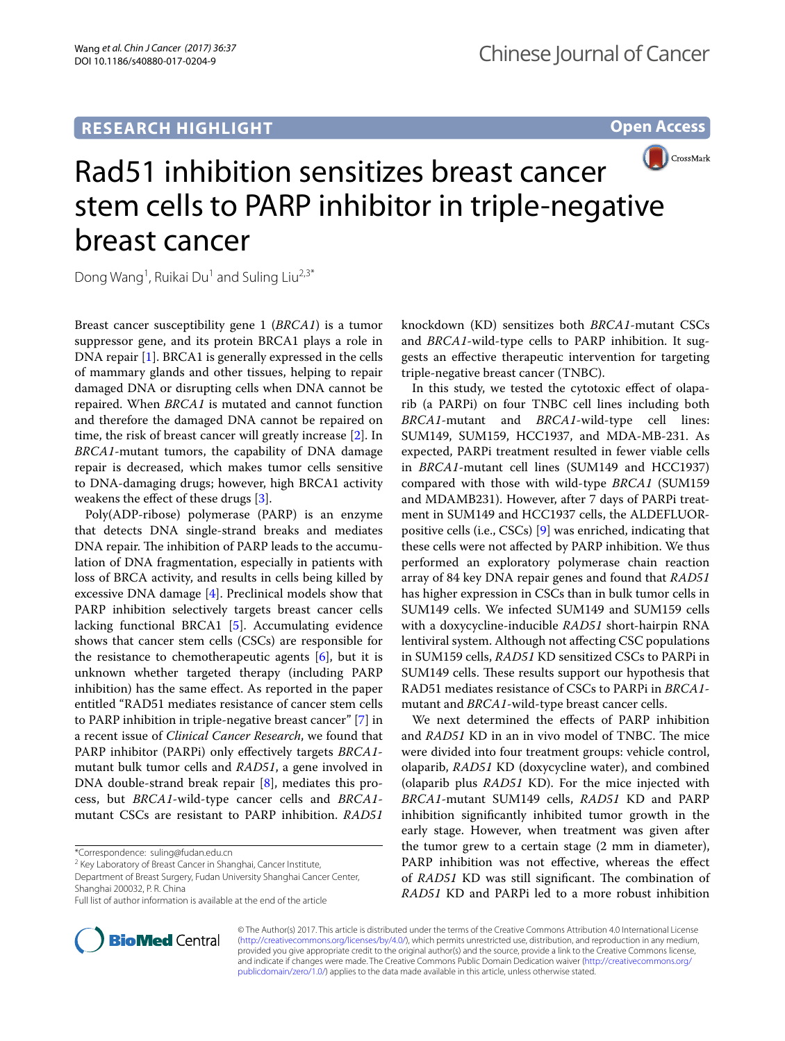**Open Access**



# Rad51 inhibition sensitizes breast cancer stem cells to PARP inhibitor in triple-negative breast cancer

Dong Wang<sup>1</sup>, Ruikai Du<sup>1</sup> and Suling Liu<sup>2,3\*</sup>

Breast cancer susceptibility gene 1 (*BRCA1*) is a tumor suppressor gene, and its protein BRCA1 plays a role in DNA repair [[1\]](#page-1-0). BRCA1 is generally expressed in the cells of mammary glands and other tissues, helping to repair damaged DNA or disrupting cells when DNA cannot be repaired. When *BRCA1* is mutated and cannot function and therefore the damaged DNA cannot be repaired on time, the risk of breast cancer will greatly increase [[2\]](#page-1-1). In *BRCA1*-mutant tumors, the capability of DNA damage repair is decreased, which makes tumor cells sensitive to DNA-damaging drugs; however, high BRCA1 activity weakens the effect of these drugs [\[3](#page-1-2)].

Poly(ADP-ribose) polymerase (PARP) is an enzyme that detects DNA single-strand breaks and mediates DNA repair. The inhibition of PARP leads to the accumulation of DNA fragmentation, especially in patients with loss of BRCA activity, and results in cells being killed by excessive DNA damage [[4\]](#page-1-3). Preclinical models show that PARP inhibition selectively targets breast cancer cells lacking functional BRCA1 [[5\]](#page-1-4). Accumulating evidence shows that cancer stem cells (CSCs) are responsible for the resistance to chemotherapeutic agents  $[6]$  $[6]$ , but it is unknown whether targeted therapy (including PARP inhibition) has the same effect. As reported in the paper entitled "RAD51 mediates resistance of cancer stem cells to PARP inhibition in triple-negative breast cancer" [\[7\]](#page-1-6) in a recent issue of *Clinical Cancer Research*, we found that PARP inhibitor (PARPi) only effectively targets *BRCA1* mutant bulk tumor cells and *RAD51*, a gene involved in DNA double-strand break repair [\[8](#page-1-7)], mediates this process, but *BRCA1*-wild-type cancer cells and *BRCA1* mutant CSCs are resistant to PARP inhibition. *RAD51*

\*Correspondence: suling@fudan.edu.cn

<sup>2</sup> Key Laboratory of Breast Cancer in Shanghai, Cancer Institute,

Department of Breast Surgery, Fudan University Shanghai Cancer Center, Shanghai 200032, P. R. China

Full list of author information is available at the end of the article



knockdown (KD) sensitizes both *BRCA1*-mutant CSCs and *BRCA1*-wild-type cells to PARP inhibition. It suggests an effective therapeutic intervention for targeting triple-negative breast cancer (TNBC).

In this study, we tested the cytotoxic effect of olaparib (a PARPi) on four TNBC cell lines including both *BRCA1*-mutant and *BRCA1*-wild-type cell lines: SUM149, SUM159, HCC1937, and MDA-MB-231. As expected, PARPi treatment resulted in fewer viable cells in *BRCA1*-mutant cell lines (SUM149 and HCC1937) compared with those with wild-type *BRCA1* (SUM159 and MDAMB231). However, after 7 days of PARPi treatment in SUM149 and HCC1937 cells, the ALDEFLUORpositive cells (i.e., CSCs) [[9\]](#page-1-8) was enriched, indicating that these cells were not affected by PARP inhibition. We thus performed an exploratory polymerase chain reaction array of 84 key DNA repair genes and found that *RAD51* has higher expression in CSCs than in bulk tumor cells in SUM149 cells. We infected SUM149 and SUM159 cells with a doxycycline-inducible *RAD51* short-hairpin RNA lentiviral system. Although not affecting CSC populations in SUM159 cells, *RAD51* KD sensitized CSCs to PARPi in SUM149 cells. These results support our hypothesis that RAD51 mediates resistance of CSCs to PARPi in *BRCA1* mutant and *BRCA1*-wild-type breast cancer cells.

We next determined the effects of PARP inhibition and *RAD51* KD in an in vivo model of TNBC. The mice were divided into four treatment groups: vehicle control, olaparib, *RAD51* KD (doxycycline water), and combined (olaparib plus *RAD51* KD). For the mice injected with *BRCA1*-mutant SUM149 cells, *RAD51* KD and PARP inhibition significantly inhibited tumor growth in the early stage. However, when treatment was given after the tumor grew to a certain stage (2 mm in diameter), PARP inhibition was not effective, whereas the effect of *RAD51* KD was still significant. The combination of *RAD51* KD and PARPi led to a more robust inhibition

© The Author(s) 2017. This article is distributed under the terms of the Creative Commons Attribution 4.0 International License [\(http://creativecommons.org/licenses/by/4.0/\)](http://creativecommons.org/licenses/by/4.0/), which permits unrestricted use, distribution, and reproduction in any medium, provided you give appropriate credit to the original author(s) and the source, provide a link to the Creative Commons license, and indicate if changes were made. The Creative Commons Public Domain Dedication waiver ([http://creativecommons.org/](http://creativecommons.org/publicdomain/zero/1.0/) [publicdomain/zero/1.0/](http://creativecommons.org/publicdomain/zero/1.0/)) applies to the data made available in this article, unless otherwise stated.